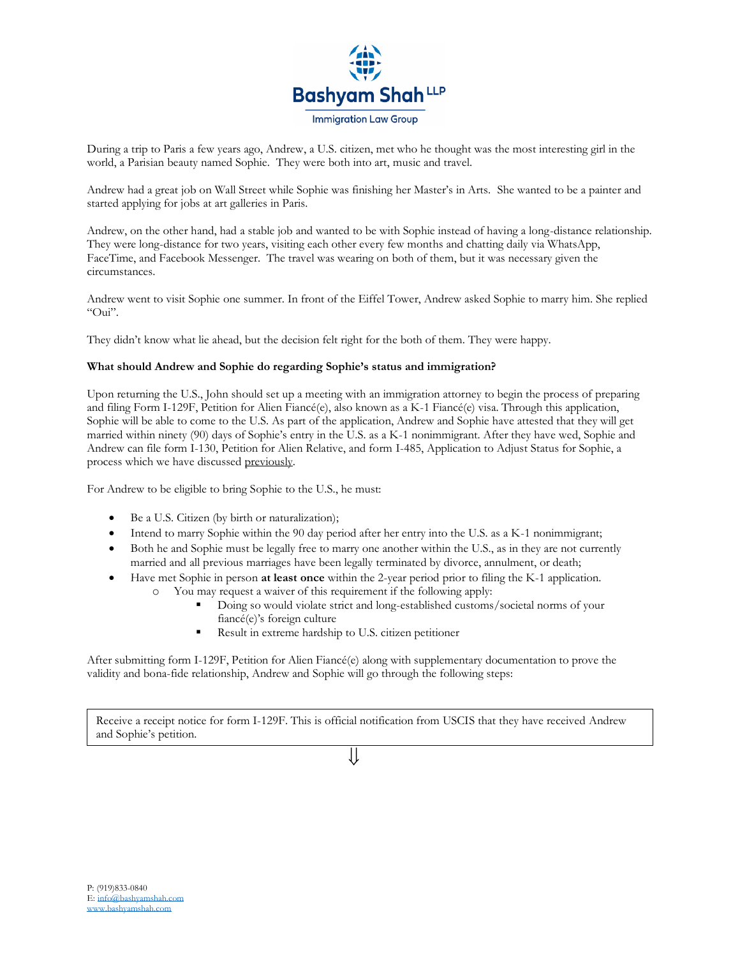

During a trip to Paris a few years ago, Andrew, a U.S. citizen, met who he thought was the most interesting girl in the world, a Parisian beauty named Sophie. They were both into art, music and travel.

Andrew had a great job on Wall Street while Sophie was finishing her Master's in Arts. She wanted to be a painter and started applying for jobs at art galleries in Paris.

Andrew, on the other hand, had a stable job and wanted to be with Sophie instead of having a long-distance relationship. They were long-distance for two years, visiting each other every few months and chatting daily via WhatsApp, FaceTime, and Facebook Messenger. The travel was wearing on both of them, but it was necessary given the circumstances.

Andrew went to visit Sophie one summer. In front of the Eiffel Tower, Andrew asked Sophie to marry him. She replied "Oui".

They didn't know what lie ahead, but the decision felt right for the both of them. They were happy.

## **What should Andrew and Sophie do regarding Sophie's status and immigration?**

Upon returning the U.S., John should set up a meeting with an immigration attorney to begin the process of preparing and filing Form I-129F, Petition for Alien Fiancé(e), also known as a K-1 Fiancé(e) visa. Through this application, Sophie will be able to come to the U.S. As part of the application, Andrew and Sophie have attested that they will get married within ninety (90) days of Sophie's entry in the U.S. as a K-1 nonimmigrant. After they have wed, Sophie and Andrew can file form I-130, Petition for Alien Relative, and form I-485, Application to Adjust Status for Sophie, a process which we have discussed previously.

For Andrew to be eligible to bring Sophie to the U.S., he must:

- Be a U.S. Citizen (by birth or naturalization);
- Intend to marry Sophie within the 90 day period after her entry into the U.S. as a K-1 nonimmigrant;
- Both he and Sophie must be legally free to marry one another within the U.S., as in they are not currently married and all previous marriages have been legally terminated by divorce, annulment, or death;
- Have met Sophie in person **at least once** within the 2-year period prior to filing the K-1 application.
	- o You may request a waiver of this requirement if the following apply:
		- Doing so would violate strict and long-established customs/societal norms of your fiancé(e)'s foreign culture
		- Result in extreme hardship to U.S. citizen petitioner

After submitting form I-129F, Petition for Alien Fiancé(e) along with supplementary documentation to prove the validity and bona-fide relationship, Andrew and Sophie will go through the following steps:

Receive a receipt notice for form I-129F. This is official notification from USCIS that they have received Andrew and Sophie's petition.

⇓